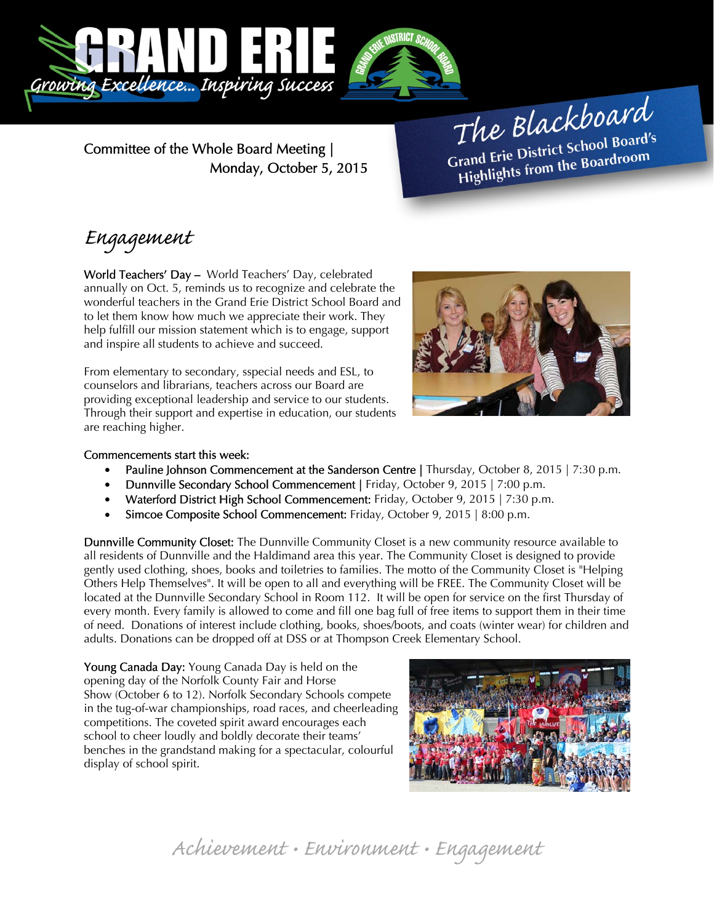

Committee of the Whole Board Meeting | Monday, October 5, 2015

The Blackboard The Burnor<br>Grand Erie District School Board's<br>Little from the Boardroom rand Erie District School Board<br>Highlights from the Boardroom

# Engagement

World Teachers' Day – World Teachers' Day, celebrated annually on Oct. 5, reminds us to recognize and celebrate the wonderful teachers in the Grand Erie District School Board and to let them know how much we appreciate their work. They help fulfill our mission statement which is to engage, support and inspire all students to achieve and succeed.

From elementary to secondary, sspecial needs and ESL, to counselors and librarians, teachers across our Board are providing exceptional leadership and service to our students. Through their support and expertise in education, our students are reaching higher.



#### Commencements start this week:

- Pauline Johnson Commencement at the Sanderson Centre | Thursday, October 8, 2015 | 7:30 p.m.
- Dunnville Secondary School Commencement | Friday, October 9, 2015 | 7:00 p.m.
- Waterford District High School Commencement: Friday, October 9, 2015 | 7:30 p.m.
- Simcoe Composite School Commencement: Friday, October 9, 2015 | 8:00 p.m.

Dunnville Community Closet: The Dunnville Community Closet is a new community resource available to all residents of Dunnville and the Haldimand area this year. The Community Closet is designed to provide gently used clothing, shoes, books and toiletries to families. The motto of the Community Closet is "Helping Others Help Themselves". It will be open to all and everything will be FREE. The Community Closet will be located at the Dunnville Secondary School in Room 112. It will be open for service on the first Thursday of every month. Every family is allowed to come and fill one bag full of free items to support them in their time of need. Donations of interest include clothing, books, shoes/boots, and coats (winter wear) for children and adults. Donations can be dropped off at DSS or at Thompson Creek Elementary School.

Young Canada Day: Young Canada Day is held on the opening day of the Norfolk County Fair and Horse Show (October 6 to 12). Norfolk Secondary Schools compete in the tug-of-war championships, road races, and cheerleading competitions. The coveted spirit award encourages each school to cheer loudly and boldly decorate their teams' benches in the grandstand making for a spectacular, colourful display of school spirit.



Achievement • Environment • Engagement